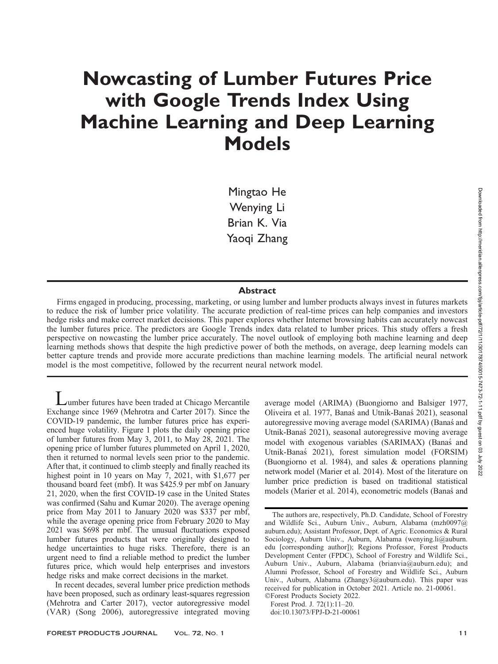# Nowcasting of Lumber Futures Price with Google Trends Index Using Machine Learning and Deep Learning Models

Mingtao He Wenying Li Brian K. Via Yaoqi Zhang

## Abstract

Firms engaged in producing, processing, marketing, or using lumber and lumber products always invest in futures markets to reduce the risk of lumber price volatility. The accurate prediction of real-time prices can help companies and investors hedge risks and make correct market decisions. This paper explores whether Internet browsing habits can accurately nowcast the lumber futures price. The predictors are Google Trends index data related to lumber prices. This study offers a fresh perspective on nowcasting the lumber price accurately. The novel outlook of employing both machine learning and deep learning methods shows that despite the high predictive power of both the methods, on average, deep learning models can better capture trends and provide more accurate predictions than machine learning models. The artificial neural network model is the most competitive, followed by the recurrent neural network model.

Lumber futures have been traded at Chicago Mercantile Exchange since 1969 (Mehrotra and Carter 2017). Since the COVID-19 pandemic, the lumber futures price has experienced huge volatility. Figure 1 plots the daily opening price of lumber futures from May 3, 2011, to May 28, 2021. The opening price of lumber futures plummeted on April 1, 2020, then it returned to normal levels seen prior to the pandemic. After that, it continued to climb steeply and finally reached its highest point in 10 years on May 7, 2021, with \$1,677 per thousand board feet (mbf). It was \$425.9 per mbf on January 21, 2020, when the first COVID-19 case in the United States was confirmed (Sahu and Kumar 2020). The average opening price from May 2011 to January 2020 was \$337 per mbf, while the average opening price from February 2020 to May 2021 was \$698 per mbf. The unusual fluctuations exposed lumber futures products that were originally designed to hedge uncertainties to huge risks. Therefore, there is an urgent need to find a reliable method to predict the lumber futures price, which would help enterprises and investors hedge risks and make correct decisions in the market.

In recent decades, several lumber price prediction methods have been proposed, such as ordinary least-squares regression (Mehrotra and Carter 2017), vector autoregressive model (VAR) (Song 2006), autoregressive integrated moving average model (ARIMA) (Buongiorno and Balsiger 1977, Oliveira et al. 1977, Banas´ and Utnik-Banas´ 2021), seasonal autoregressive moving average model (SARIMA) (Banas´ and Utnik-Banas´ 2021), seasonal autoregressive moving average model with exogenous variables (SARIMAX) (Banas and Utnik-Banas´ 2021), forest simulation model (FORSIM) (Buongiorno et al. 1984), and sales & operations planning network model (Marier et al. 2014). Most of the literature on lumber price prediction is based on traditional statistical models (Marier et al. 2014), econometric models (Banas´ and

-Forest Products Society 2022. Forest Prod. J. 72(1):11–20.

doi:10.13073/FPJ-D-21-00061

The authors are, respectively, Ph.D. Candidate, School of Forestry and Wildlife Sci., Auburn Univ., Auburn, Alabama (mzh0097@ auburn.edu); Assistant Professor, Dept. of Agric. Economics & Rural Sociology, Auburn Univ., Auburn, Alabama (wenying.li@auburn. edu [corresponding author]); Regions Professor, Forest Products Development Center (FPDC), School of Forestry and Wildlife Sci., Auburn Univ., Auburn, Alabama (brianvia@auburn.edu); and Alumni Professor, School of Forestry and Wildlife Sci., Auburn Univ., Auburn, Alabama (Zhangy3@auburn.edu). This paper was received for publication in October 2021. Article no. 21-00061.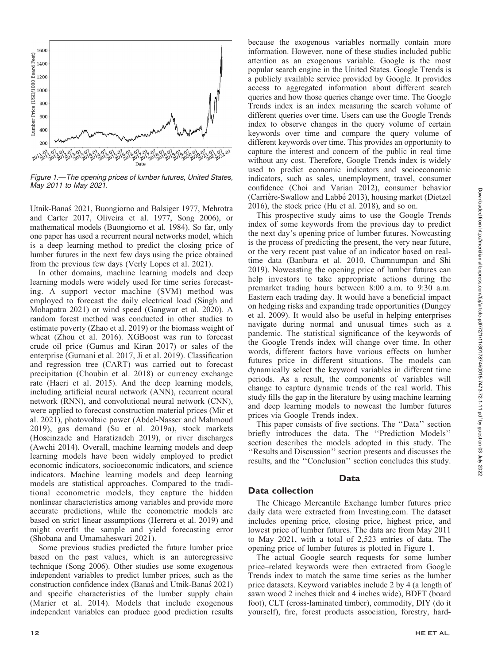

Figure 1.—The opening prices of lumber futures, United States, May 2011 to May 2021.

Utnik-Banas´ 2021, Buongiorno and Balsiger 1977, Mehrotra and Carter 2017, Oliveira et al. 1977, Song 2006), or mathematical models (Buongiorno et al. 1984). So far, only one paper has used a recurrent neural networks model, which is a deep learning method to predict the closing price of lumber futures in the next few days using the price obtained from the previous few days (Verly Lopes et al. 2021).

In other domains, machine learning models and deep learning models were widely used for time series forecasting. A support vector machine (SVM) method was employed to forecast the daily electrical load (Singh and Mohapatra 2021) or wind speed (Gangwar et al. 2020). A random forest method was conducted in other studies to estimate poverty (Zhao et al. 2019) or the biomass weight of wheat (Zhou et al. 2016). XGBoost was run to forecast crude oil price (Gumus and Kiran 2017) or sales of the enterprise (Gurnani et al. 2017, Ji et al. 2019). Classification and regression tree (CART) was carried out to forecast precipitation (Choubin et al. 2018) or currency exchange rate (Haeri et al. 2015). And the deep learning models, including artificial neural network (ANN), recurrent neural network (RNN), and convolutional neural network (CNN), were applied to forecast construction material prices (Mir et al. 2021), photovoltaic power (Abdel-Nasser and Mahmoud 2019), gas demand (Su et al. 2019a), stock markets (Hoseinzade and Haratizadeh 2019), or river discharges (Awchi 2014). Overall, machine learning models and deep learning models have been widely employed to predict economic indicators, socioeconomic indicators, and science indicators. Machine learning models and deep learning models are statistical approaches. Compared to the traditional econometric models, they capture the hidden nonlinear characteristics among variables and provide more accurate predictions, while the econometric models are based on strict linear assumptions (Herrera et al. 2019) and might overfit the sample and yield forecasting error (Shobana and Umamaheswari 2021).

Some previous studies predicted the future lumber price based on the past values, which is an autoregressive technique (Song 2006). Other studies use some exogenous independent variables to predict lumber prices, such as the construction confidence index (Banas´ and Utnik-Banas´ 2021) and specific characteristics of the lumber supply chain (Marier et al. 2014). Models that include exogenous independent variables can produce good prediction results

because the exogenous variables normally contain more information. However, none of these studies included public attention as an exogenous variable. Google is the most popular search engine in the United States. Google Trends is a publicly available service provided by Google. It provides access to aggregated information about different search queries and how those queries change over time. The Google Trends index is an index measuring the search volume of different queries over time. Users can use the Google Trends index to observe changes in the query volume of certain keywords over time and compare the query volume of different keywords over time. This provides an opportunity to capture the interest and concern of the public in real time without any cost. Therefore, Google Trends index is widely used to predict economic indicators and socioeconomic indicators, such as sales, unemployment, travel, consumer confidence (Choi and Varian 2012), consumer behavior (Carrière-Swallow and Labbé 2013), housing market (Dietzel 2016), the stock price (Hu et al. 2018), and so on.

This prospective study aims to use the Google Trends index of some keywords from the previous day to predict the next day's opening price of lumber futures. Nowcasting is the process of predicting the present, the very near future, or the very recent past value of an indicator based on realtime data (Banbura et al. 2010, Chumnumpan and Shi 2019). Nowcasting the opening price of lumber futures can help investors to take appropriate actions during the premarket trading hours between 8:00 a.m. to 9:30 a.m. Eastern each trading day. It would have a beneficial impact on hedging risks and expanding trade opportunities (Dungey et al. 2009). It would also be useful in helping enterprises navigate during normal and unusual times such as a pandemic. The statistical significance of the keywords of the Google Trends index will change over time. In other words, different factors have various effects on lumber futures price in different situations. The models can dynamically select the keyword variables in different time periods. As a result, the components of variables will change to capture dynamic trends of the real world. This study fills the gap in the literature by using machine learning and deep learning models to nowcast the lumber futures prices via Google Trends index.

This paper consists of five sections. The ''Data'' section briefly introduces the data. The ''Prediction Models'' section describes the models adopted in this study. The ''Results and Discussion'' section presents and discusses the results, and the ''Conclusion'' section concludes this study.

## Data

#### Data collection

The Chicago Mercantile Exchange lumber futures price daily data were extracted from Investing.com. The dataset includes opening price, closing price, highest price, and lowest price of lumber futures. The data are from May 2011 to May 2021, with a total of 2,523 entries of data. The opening price of lumber futures is plotted in Figure 1.

The actual Google search requests for some lumber price–related keywords were then extracted from Google Trends index to match the same time series as the lumber price datasets. Keyword variables include 2 by 4 (a length of sawn wood 2 inches thick and 4 inches wide), BDFT (board foot), CLT (cross-laminated timber), commodity, DIY (do it yourself), fire, forest products association, forestry, hard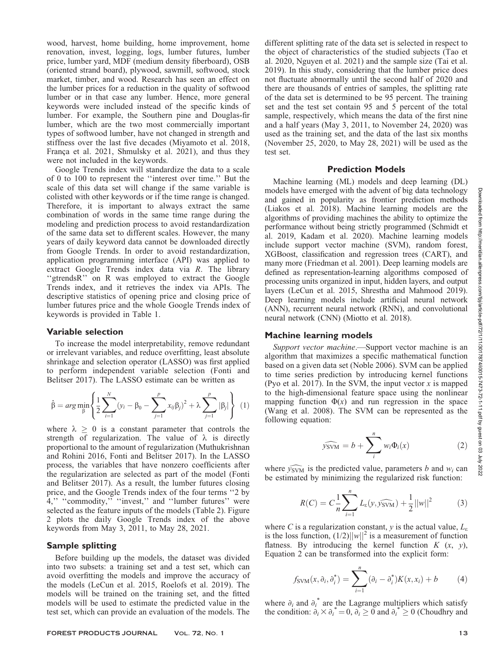wood, harvest, home building, home improvement, home renovation, invest, logging, logs, lumber futures, lumber price, lumber yard, MDF (medium density fiberboard), OSB (oriented strand board), plywood, sawmill, softwood, stock market, timber, and wood. Research has seen an effect on the lumber prices for a reduction in the quality of softwood lumber or in that case any lumber. Hence, more general keywords were included instead of the specific kinds of lumber. For example, the Southern pine and Douglas-fir lumber, which are the two most commercially important types of softwood lumber, have not changed in strength and stiffness over the last five decades (Miyamoto et al. 2018, França et al. 2021, Shmulsky et al. 2021), and thus they were not included in the keywords.

Google Trends index will standardize the data to a scale of 0 to 100 to represent the ''interest over time.'' But the scale of this data set will change if the same variable is colisted with other keywords or if the time range is changed. Therefore, it is important to always extract the same combination of words in the same time range during the modeling and prediction process to avoid restandardization of the same data set to different scales. However, the many years of daily keyword data cannot be downloaded directly from Google Trends. In order to avoid restandardization, application programming interface (API) was applied to extract Google Trends index data via R. The library "gtrendsR" on R was employed to extract the Google Trends index, and it retrieves the index via APIs. The descriptive statistics of opening price and closing price of lumber futures price and the whole Google Trends index of keywords is provided in Table 1.

### Variable selection

To increase the model interpretability, remove redundant or irrelevant variables, and reduce overfitting, least absolute shrinkage and selection operator (LASSO) was first applied to perform independent variable selection (Fonti and Belitser 2017). The LASSO estimate can be written as

$$
\hat{\beta} = arg \min_{\beta} \left\{ \frac{1}{2} \sum_{i=1}^{N} (y_i - \beta_0 - \sum_{j=1}^{p} x_{ij} \beta_j)^2 + \lambda \sum_{j=1}^{p} |\beta_j| \right\} (1)
$$

where  $\lambda \geq 0$  is a constant parameter that controls the strength of regularization. The value of  $\lambda$  is directly proportional to the amount of regularization (Muthukrishnan and Rohini 2016, Fonti and Belitser 2017). In the LASSO process, the variables that have nonzero coefficients after the regularization are selected as part of the model (Fonti and Belitser 2017). As a result, the lumber futures closing price, and the Google Trends index of the four terms ''2 by 4," "commodity," "invest," and "lumber futures" were selected as the feature inputs of the models (Table 2). Figure 2 plots the daily Google Trends index of the above keywords from May 3, 2011, to May 28, 2021.

## Sample splitting

Before building up the models, the dataset was divided into two subsets: a training set and a test set, which can avoid overfitting the models and improve the accuracy of the models (LeCun et al. 2015, Roelofs et al. 2019). The models will be trained on the training set, and the fitted models will be used to estimate the predicted value in the test set, which can provide an evaluation of the models. The different splitting rate of the data set is selected in respect to the object of characteristics of the studied subjects (Tao et al. 2020, Nguyen et al. 2021) and the sample size (Tai et al. 2019). In this study, considering that the lumber price does not fluctuate abnormally until the second half of 2020 and there are thousands of entries of samples, the splitting rate of the data set is determined to be 95 percent. The training set and the test set contain 95 and 5 percent of the total sample, respectively, which means the data of the first nine and a half years (May 3, 2011, to November 24, 2020) was used as the training set, and the data of the last six months (November 25, 2020, to May 28, 2021) will be used as the test set.

#### Prediction Models

Machine learning (ML) models and deep learning (DL) models have emerged with the advent of big data technology and gained in popularity as frontier prediction methods (Liakos et al. 2018). Machine learning models are the algorithms of providing machines the ability to optimize the performance without being strictly programmed (Schmidt et al. 2019, Kadam et al. 2020). Machine learning models include support vector machine (SVM), random forest, XGBoost, classification and regression trees (CART), and many more (Friedman et al. 2001). Deep learning models are defined as representation-learning algorithms composed of processing units organized in input, hidden layers, and output layers (LeCun et al. 2015, Shrestha and Mahmood 2019). Deep learning models include artificial neural network (ANN), recurrent neural network (RNN), and convolutional neural network (CNN) (Miotto et al. 2018).

## Machine learning models

Support vector machine.—Support vector machine is an algorithm that maximizes a specific mathematical function based on a given data set (Noble 2006). SVM can be applied to time series prediction by introducing kernel functions (Pyo et al. 2017). In the SVM, the input vector  $x$  is mapped to the high-dimensional feature space using the nonlinear mapping function  $\Phi(x)$  and run regression in the space (Wang et al. 2008). The SVM can be represented as the following equation:

$$
\widehat{y_{\text{SVM}}} = b + \sum_{i}^{n} w_i \Phi_i(x) \tag{2}
$$

where  $\widehat{y_{\text{SVM}}}$  is the predicted value, parameters b and  $w_i$  can be estimated by minimizing the regularized risk function:

$$
R(C) = C \frac{1}{n} \sum_{i=1}^{n} L_{\varepsilon}(y, \widehat{y_{\text{SWM}}}) + \frac{1}{2} ||w||^2
$$
 (3)

where C is a regularization constant, y is the actual value,  $L_{\varepsilon}$ is the loss function,  $(1/2)||w||^2$  is a measurement of function flatness. By introducing the kernel function  $K(x, y)$ , Equation 2 can be transformed into the explicit form:

$$
f_{\text{SVM}}(x, \partial_i, \partial_i^*) = \sum_{i=1}^n (\partial_i - \partial_i^*) K(x, x_i) + b \tag{4}
$$

where  $\partial_i$  and  $\partial_i^*$  are the Lagrange multipliers which satisfy the condition:  $\dot{\partial}_i \times \dot{\partial}_i^* = 0$ ,  $\dot{\partial}_i \ge 0$  and  $\dot{\partial}_i^* \ge 0$  (Choudhry and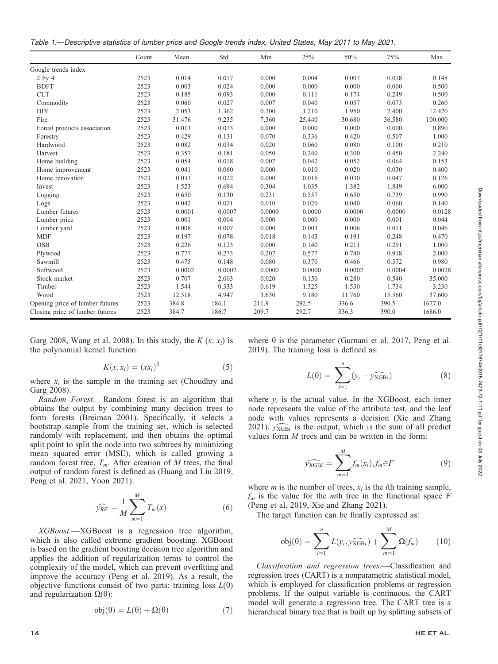Table 1.—Descriptive statistics of lumber price and Google trends index, United States, May 2011 to May 2021.

|                                 | Count | Mean   | Std    | Min    | 25%    | 50%    | 75%    | Max     |
|---------------------------------|-------|--------|--------|--------|--------|--------|--------|---------|
| Google trends index             |       |        |        |        |        |        |        |         |
| $2$ by $4$                      | 2523  | 0.014  | 0.017  | 0.000  | 0.004  | 0.007  | 0.018  | 0.148   |
| <b>BDFT</b>                     | 2523  | 0.003  | 0.024  | 0.000  | 0.000  | 0.000  | 0.000  | 0.500   |
| <b>CLT</b>                      | 2523  | 0.185  | 0.093  | 0.000  | 0.111  | 0.174  | 0.249  | 0.500   |
| Commodity                       | 2523  | 0.060  | 0.027  | 0.007  | 0.040  | 0.057  | 0.073  | 0.260   |
| <b>DIY</b>                      | 2523  | 2.053  | 1.362  | 0.200  | 1.210  | 1.950  | 2.400  | 12.420  |
| Fire                            | 2523  | 31.476 | 9.235  | 7.360  | 25.440 | 30.680 | 36.580 | 100.000 |
| Forest products association     | 2523  | 0.013  | 0.073  | 0.000  | 0.000  | 0.000  | 0.000  | 0.890   |
| Forestry                        | 2523  | 0.429  | 0.131  | 0.070  | 0.336  | 0.420  | 0.507  | 1.000   |
| Hardwood                        | 2523  | 0.082  | 0.034  | 0.020  | 0.060  | 0.080  | 0.100  | 0.210   |
| Harvest                         | 2523  | 0.357  | 0.181  | 0.050  | 0.240  | 0.300  | 0.450  | 2.240   |
| Home building                   | 2523  | 0.054  | 0.018  | 0.007  | 0.042  | 0.052  | 0.064  | 0.153   |
| Home improvement                | 2523  | 0.041  | 0.060  | 0.000  | 0.010  | 0.020  | 0.030  | 0.400   |
| Home renovation                 | 2523  | 0.033  | 0.022  | 0.000  | 0.016  | 0.030  | 0.047  | 0.126   |
| Invest                          | 2523  | 1.523  | 0.694  | 0.304  | 1.035  | 1.382  | 1.849  | 6.000   |
| Logging                         | 2523  | 0.650  | 0.130  | 0.231  | 0.557  | 0.650  | 0.739  | 0.990   |
| Logs                            | 2523  | 0.042  | 0.021  | 0.010  | 0.020  | 0.040  | 0.060  | 0.140   |
| Lumber futures                  | 2523  | 0.0001 | 0.0007 | 0.0000 | 0.0000 | 0.0000 | 0.0000 | 0.0128  |
| Lumber price                    | 2523  | 0.001  | 0.004  | 0.000  | 0.000  | 0.000  | 0.001  | 0.044   |
| Lumber yard                     | 2523  | 0.008  | 0.007  | 0.000  | 0.003  | 0.006  | 0.011  | 0.046   |
| <b>MDF</b>                      | 2523  | 0.197  | 0.078  | 0.018  | 0.143  | 0.191  | 0.248  | 0.470   |
| <b>OSB</b>                      | 2523  | 0.226  | 0.123  | 0.000  | 0.140  | 0.211  | 0.291  | 1.000   |
| Plywood                         | 2523  | 0.777  | 0.273  | 0.207  | 0.577  | 0.740  | 0.918  | 2.000   |
| Sawmill                         | 2523  | 0.475  | 0.148  | 0.080  | 0.370  | 0.466  | 0.572  | 0.980   |
| Softwood                        | 2523  | 0.0002 | 0.0002 | 0.0000 | 0.0000 | 0.0002 | 0.0004 | 0.0028  |
| Stock market                    | 2523  | 0.707  | 2.003  | 0.020  | 0.150  | 0.280  | 0.540  | 35.000  |
| Timber                          | 2523  | 1.544  | 0.333  | 0.619  | 1.325  | 1.530  | 1.734  | 3.230   |
| Wood                            | 2523  | 12.518 | 4.947  | 3.630  | 9.180  | 11.760 | 15.360 | 37.600  |
| Opening price of lumber futures | 2523  | 384.8  | 186.1  | 211.9  | 292.5  | 336.6  | 390.5  | 1677.0  |
| Closing price of lumber futures | 2523  | 384.7  | 186.7  | 209.7  | 292.7  | 336.3  | 390.0  | 1686.0  |
|                                 |       |        |        |        |        |        |        |         |

Garg 2008, Wang et al. 2008). In this study, the  $K(x, x_i)$  is the polynomial kernel function:

$$
K(x, x_i) = (xx_i)^3 \tag{5}
$$

where  $x_i$  is the sample in the training set (Choudhry and Garg 2008).

Random Forest.—Random forest is an algorithm that obtains the output by combining many decision trees to form forests (Breiman 2001). Specifically, it selects a bootstrap sample from the training set, which is selected randomly with replacement, and then obtains the optimal split point to split the node into two subtrees by minimizing mean squared error (MSE), which is called growing a random forest tree,  $T_m$ . After creation of M trees, the final output of random forest is defined as (Huang and Liu 2019, Peng et al. 2021, Yoon 2021):

$$
\widehat{\mathcal{Y}_{RF}} = \frac{1}{M} \sum_{m=1}^{M} T_m(x) \tag{6}
$$

XGBoost.—XGBoost is a regression tree algorithm, which is also called extreme gradient boosting. XGBoost is based on the gradient boosting decision tree algorithm and applies the addition of regularization terms to control the complexity of the model, which can prevent overfitting and improve the accuracy (Peng et al. 2019). As a result, the objective functions consist of two parts: training loss  $L(\theta)$ and regularization  $\Omega(\theta)$ :

$$
obj(\theta) = L(\theta) + \Omega(\theta)
$$
\n(7)

where  $\theta$  is the parameter (Gurnani et al. 2017, Peng et al. 2019). The training loss is defined as:

$$
L(\theta) = \sum_{i=1}^{n} (y_i - \widehat{y_{XGBi}})
$$
 (8)

where  $y_i$  is the actual value. In the XGBoost, each inner node represents the value of the attribute test, and the leaf node with values represents a decision (Xie and Zhang 2021).  $\widehat{y_{XGBi}}$  is the output, which is the sum of all predict values form M trees and can be written in the form:

$$
\widehat{\mathcal{Y}_{XGBi}} = \sum_{m=1}^{M} f_m(x_i), f_m \in F \tag{9}
$$

where *m* is the number of trees,  $x_i$  is the *i*th training sample,  $f_m$  is the value for the mth tree in the functional space F (Peng et al. 2019, Xie and Zhang 2021).

The target function can be finally expressed as:

$$
obj(\theta) = \sum_{i=1}^{n} L(y_i, \widehat{y_{XGBi}}) + \sum_{m=1}^{M} \Omega(f_m)
$$
 (10)

Classification and regression trees.—Classification and regression trees (CART) is a nonparametric statistical model, which is employed for classification problems or regression problems. If the output variable is continuous, the CART model will generate a regression tree. The CART tree is a hierarchical binary tree that is built up by splitting subsets of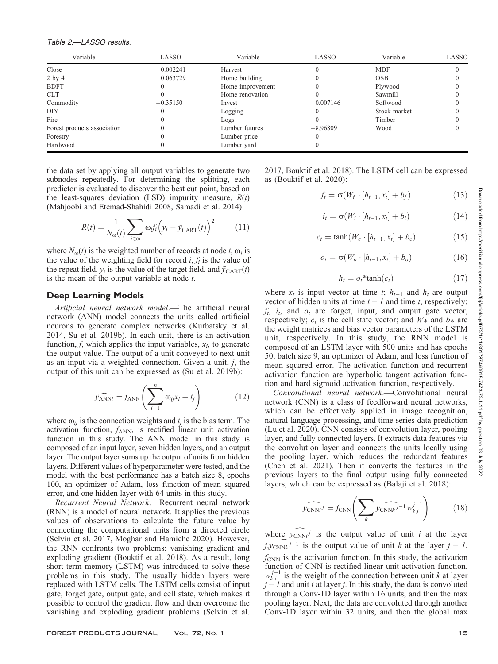| Variable                    | LASSO      | Variable         | LASSO      | Variable     | LASSO |
|-----------------------------|------------|------------------|------------|--------------|-------|
| Close                       | 0.002241   | Harvest          |            | <b>MDF</b>   |       |
| $2$ by $4$                  | 0.063729   | Home building    |            | <b>OSB</b>   |       |
| <b>BDFT</b>                 |            | Home improvement |            | Plywood      |       |
| <b>CLT</b>                  |            | Home renovation  |            | Sawmill      |       |
| Commodity                   | $-0.35150$ | Invest           | 0.007146   | Softwood     |       |
| DIY                         |            | Logging          |            | Stock market |       |
| Fire                        |            | Logs             |            | Timber       |       |
| Forest products association |            | Lumber futures   | $-8.96809$ | Wood         |       |
| Forestry                    |            | Lumber price     |            |              |       |
| Hardwood                    | U          | Lumber yard      |            |              |       |

the data set by applying all output variables to generate two subnodes repeatedly. For determining the splitting, each predictor is evaluated to discover the best cut point, based on the least-squares deviation (LSD) impurity measure,  $R(t)$ (Mahjoobi and Etemad-Shahidi 2008, Samadi et al. 2014):

$$
R(t) = \frac{1}{N_{\omega}(t)} \sum_{i \in \omega} \omega_i f_i \left( y_i - \bar{y}_{\text{CART}}(t) \right)^2 \tag{11}
$$

where  $N_{\text{o}}(t)$  is the weighted number of records at node t,  $\omega_i$  is the value of the weighting field for record  $i, f_i$  is the value of the repeat field,  $y_i$  is the value of the target field, and  $\bar{y}_{\text{CART}}(t)$ is the mean of the output variable at node t.

#### Deep Learning Models

Artificial neural network model.—The artificial neural network (ANN) model connects the units called artificial neurons to generate complex networks (Kurbatsky et al. 2014, Su et al. 2019b). In each unit, there is an activation function,  $f$ , which applies the input variables,  $x_i$ , to generate the output value. The output of a unit conveyed to next unit as an input via a weighted connection. Given a unit, j, the output of this unit can be expressed as (Su et al. 2019b):

$$
\widehat{y_{\text{ANN}i}} = f_{\text{ANN}} \left( \sum_{i=1}^{n} \omega_{ij} x_i + t_j \right) \tag{12}
$$

where  $\omega_{ii}$  is the connection weights and  $t_i$  is the bias term. The activation function,  $f_{\text{ANN}}$ , is rectified linear unit activation function in this study. The ANN model in this study is composed of an input layer, seven hidden layers, and an output layer. The output layer sums up the output of units from hidden layers. Different values of hyperparameter were tested, and the model with the best performance has a batch size 8, epochs 100, an optimizer of Adam, loss function of mean squared error, and one hidden layer with 64 units in this study.

Recurrent Neural Network.—Recurrent neural network (RNN) is a model of neural network. It applies the previous values of observations to calculate the future value by connecting the computational units from a directed circle (Selvin et al. 2017, Moghar and Hamiche 2020). However, the RNN confronts two problems: vanishing gradient and exploding gradient (Bouktif et al. 2018). As a result, long short-term memory (LSTM) was introduced to solve these problems in this study. The usually hidden layers were replaced with LSTM cells. The LSTM cells consist of input gate, forget gate, output gate, and cell state, which makes it possible to control the gradient flow and then overcome the vanishing and exploding gradient problems (Selvin et al.

FOREST PRODUCTS JOURNAL VOL. 72, No. 1 15

2017, Bouktif et al. 2018). The LSTM cell can be expressed as (Bouktif et al. 2020):

$$
f_t = \sigma(W_f \cdot [h_{t-1}, x_t] + b_f)
$$
 (13)

$$
i_t = \sigma(W_i \cdot [h_{t-1}, x_t] + b_i)
$$
\n(14)

$$
c_t = \tanh(W_c \cdot [h_{t-1}, x_t] + b_c) \tag{15}
$$

$$
o_t = \sigma(W_o \cdot [h_{t-1}, x_t] + b_o)
$$
\n(16)

$$
h_t = o_t * \tanh(c_t) \tag{17}
$$

where  $x_t$  is input vector at time t;  $h_{t-1}$  and  $h_t$  are output vector of hidden units at time  $t - 1$  and time t, respectively;  $f_t$ ,  $i_t$ , and  $o_t$  are forget, input, and output gate vector, respectively;  $c_t$  is the cell state vector; and  $W_*$  and  $b_*$  are the weight matrices and bias vector parameters of the LSTM unit, respectively. In this study, the RNN model is composed of an LSTM layer with 500 units and has epochs 50, batch size 9, an optimizer of Adam, and loss function of mean squared error. The activation function and recurrent activation function are hyperbolic tangent activation function and hard sigmoid activation function, respectively.

Convolutional neural network.—Convolutional neural network (CNN) is a class of feedforward neural networks, which can be effectively applied in image recognition, natural language processing, and time series data prediction (Lu et al. 2020). CNN consists of convolution layer, pooling layer, and fully connected layers. It extracts data features via the convolution layer and connects the units locally using the pooling layer, which reduces the redundant features (Chen et al. 2021). Then it converts the features in the previous layers to the final output using fully connected layers, which can be expressed as (Balaji et al. 2018):

$$
\widehat{\mathcal{V}_{\text{CNN}i}}^j = f_{\text{CNN}} \left( \sum_k \widehat{\mathcal{V}_{\text{CNN}k}}^{j-1} w_{k,i}^{j-1} \right) \tag{18}
$$

where  $y_{\text{CNNi}}$  is the output value of unit i at the layer  $j$ ,  $y$ <sub>CNNk</sub> $j-1$  is the output value of unit k at the layer  $j-1$ ,  $f_{\text{CNN}}$  is the activation function. In this study, the activation function of CNN is rectified linear unit activation function.  $w_{k,i}^{j-1}$  is the weight of the connection between unit k at layer  $j - 1$  and unit i at layer j. In this study, the data is convoluted through a Conv-1D layer within 16 units, and then the max pooling layer. Next, the data are convoluted through another Conv-1D layer within 32 units, and then the global max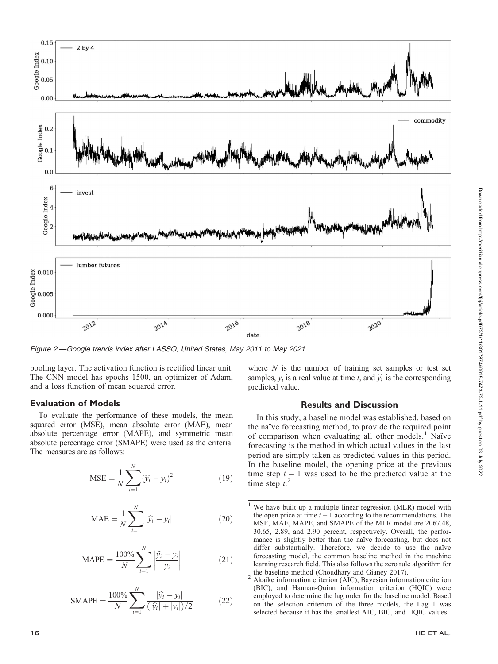

Figure 2.—Google trends index after LASSO, United States, May 2011 to May 2021.

pooling layer. The activation function is rectified linear unit. The CNN model has epochs 1500, an optimizer of Adam, and a loss function of mean squared error.

## Evaluation of Models

To evaluate the performance of these models, the mean squared error (MSE), mean absolute error (MAE), mean absolute percentage error (MAPE), and symmetric mean absolute percentage error (SMAPE) were used as the criteria. The measures are as follows:

$$
MSE = \frac{1}{N} \sum_{i=1}^{N} (\hat{y}_i - y_i)^2
$$
 (19)

$$
MAE = \frac{1}{N} \sum_{i=1}^{N} |\hat{y}_i - y_i|
$$
 (20)

$$
MAPE = \frac{100\%}{N} \sum_{i=1}^{N} \left| \frac{\hat{y}_i - y_i}{y_i} \right|
$$
 (21)

$$
\text{SMAPE} = \frac{100\%}{N} \sum_{i=1}^{N} \frac{|\hat{y}_i - y_i|}{(|\hat{y}_i| + |y_i|)/2}
$$
(22)

where  $N$  is the number of training set samples or test set samples,  $y_i$  is a real value at time t, and  $\hat{y}_i$  is the corresponding predicted value.

### Results and Discussion

In this study, a baseline model was established, based on the naïve forecasting method, to provide the required point of comparison when evaluating all other models.<sup>1</sup> Naïve forecasting is the method in which actual values in the last period are simply taken as predicted values in this period. In the baseline model, the opening price at the previous time step  $t - 1$  was used to be the predicted value at the time step  $t^2$ .

<sup>&</sup>lt;sup>1</sup> We have built up a multiple linear regression (MLR) model with the open price at time  $t - 1$  according to the recommendations. The MSE, MAE, MAPE, and SMAPE of the MLR model are 2067.48, 30.65, 2.89, and 2.90 percent, respectively. Overall, the performance is slightly better than the naïve forecasting, but does not differ substantially. Therefore, we decide to use the naïve forecasting model, the common baseline method in the machine learning research field. This also follows the zero rule algorithm for

the baseline method (Choudhary and Gianey 2017).<br>
<sup>2</sup> Akaike information criterion (AIC), Bayesian information criterion (BIC), and Hannan-Quinn information criterion (HQIC) were employed to determine the lag order for the baseline model. Based on the selection criterion of the three models, the Lag 1 was selected because it has the smallest AIC, BIC, and HQIC values.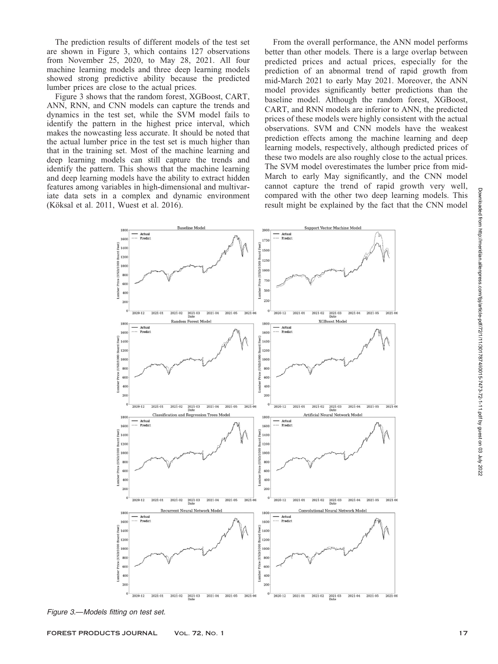The prediction results of different models of the test set are shown in Figure 3, which contains 127 observations from November 25, 2020, to May 28, 2021. All four machine learning models and three deep learning models showed strong predictive ability because the predicted lumber prices are close to the actual prices.

Figure 3 shows that the random forest, XGBoost, CART, ANN, RNN, and CNN models can capture the trends and dynamics in the test set, while the SVM model fails to identify the pattern in the highest price interval, which makes the nowcasting less accurate. It should be noted that the actual lumber price in the test set is much higher than that in the training set. Most of the machine learning and deep learning models can still capture the trends and identify the pattern. This shows that the machine learning and deep learning models have the ability to extract hidden features among variables in high-dimensional and multivariate data sets in a complex and dynamic environment (Köksal et al. 2011, Wuest et al. 2016).

From the overall performance, the ANN model performs better than other models. There is a large overlap between predicted prices and actual prices, especially for the prediction of an abnormal trend of rapid growth from mid-March 2021 to early May 2021. Moreover, the ANN model provides significantly better predictions than the baseline model. Although the random forest, XGBoost, CART, and RNN models are inferior to ANN, the predicted prices of these models were highly consistent with the actual observations. SVM and CNN models have the weakest prediction effects among the machine learning and deep learning models, respectively, although predicted prices of these two models are also roughly close to the actual prices. The SVM model overestimates the lumber price from mid-March to early May significantly, and the CNN model cannot capture the trend of rapid growth very well, compared with the other two deep learning models. This result might be explained by the fact that the CNN model



Figure 3.—Models fitting on test set.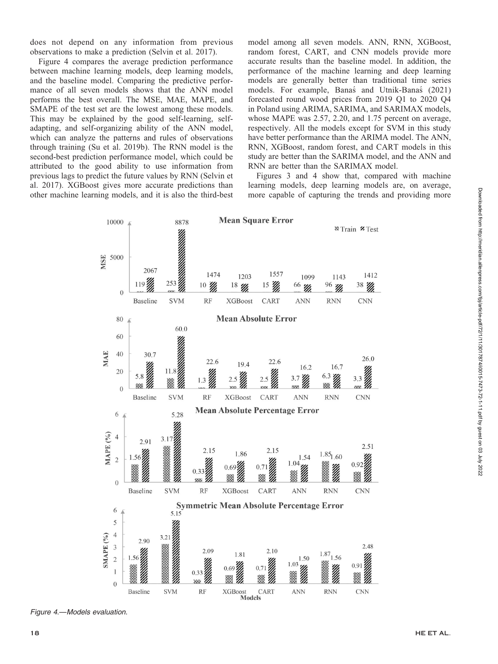does not depend on any information from previous observations to make a prediction (Selvin et al. 2017).

Figure 4 compares the average prediction performance between machine learning models, deep learning models, and the baseline model. Comparing the predictive performance of all seven models shows that the ANN model performs the best overall. The MSE, MAE, MAPE, and SMAPE of the test set are the lowest among these models. This may be explained by the good self-learning, selfadapting, and self-organizing ability of the ANN model, which can analyze the patterns and rules of observations through training (Su et al. 2019b). The RNN model is the second-best prediction performance model, which could be attributed to the good ability to use information from previous lags to predict the future values by RNN (Selvin et al. 2017). XGBoost gives more accurate predictions than other machine learning models, and it is also the third-best model among all seven models. ANN, RNN, XGBoost, random forest, CART, and CNN models provide more accurate results than the baseline model. In addition, the performance of the machine learning and deep learning models are generally better than traditional time series models. For example, Banas´ and Utnik-Banas´ (2021) forecasted round wood prices from 2019 Q1 to 2020 Q4 in Poland using ARIMA, SARIMA, and SARIMAX models, whose MAPE was 2.57, 2.20, and 1.75 percent on average, respectively. All the models except for SVM in this study have better performance than the ARIMA model. The ANN, RNN, XGBoost, random forest, and CART models in this study are better than the SARIMA model, and the ANN and RNN are better than the SARIMAX model.

Figures 3 and 4 show that, compared with machine learning models, deep learning models are, on average, more capable of capturing the trends and providing more



Figure 4.—Models evaluation.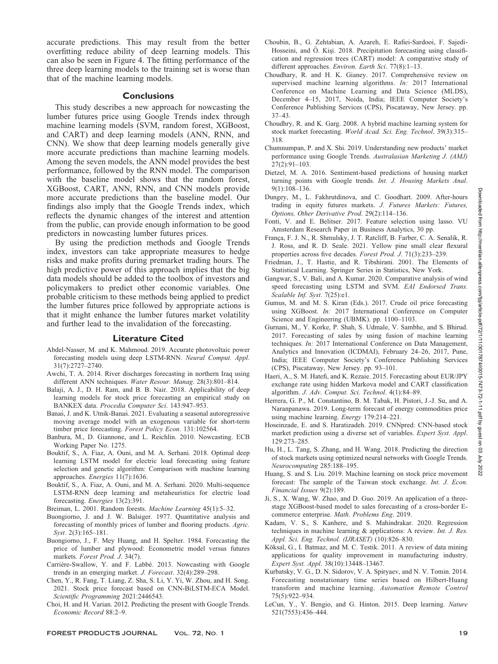accurate predictions. This may result from the better overfitting reduce ability of deep learning models. This can also be seen in Figure 4. The fitting performance of the three deep learning models to the training set is worse than that of the machine learning models.

#### **Conclusions**

This study describes a new approach for nowcasting the lumber futures price using Google Trends index through machine learning models (SVM, random forest, XGBoost, and CART) and deep learning models (ANN, RNN, and CNN). We show that deep learning models generally give more accurate predictions than machine learning models. Among the seven models, the ANN model provides the best performance, followed by the RNN model. The comparison with the baseline model shows that the random forest, XGBoost, CART, ANN, RNN, and CNN models provide more accurate predictions than the baseline model. Our findings also imply that the Google Trends index, which reflects the dynamic changes of the interest and attention from the public, can provide enough information to be good predictors in nowcasting lumber futures prices.

By using the prediction methods and Google Trends index, investors can take appropriate measures to hedge risks and make profits during premarket trading hours. The high predictive power of this approach implies that the big data models should be added to the toolbox of investors and policymakers to predict other economic variables. One probable criticism to these methods being applied to predict the lumber futures price followed by appropriate actions is that it might enhance the lumber futures market volatility and further lead to the invalidation of the forecasting.

#### Literature Cited

- Abdel-Nasser, M. and K. Mahmoud. 2019. Accurate photovoltaic power forecasting models using deep LSTM-RNN. Neural Comput. Appl. 31(7):2727–2740.
- Awchi, T. A. 2014. River discharges forecasting in northern Iraq using different ANN techniques. Water Resour. Manag. 28(3):801–814.
- Balaji, A. J., D. H. Ram, and B. B. Nair. 2018. Applicability of deep learning models for stock price forecasting an empirical study on BANKEX data. Procedia Computer Sci. 143:947–953.
- Banas, J. and K. Utnik-Banas. 2021. Evaluating a seasonal autoregressive moving average model with an exogenous variable for short-term timber price forecasting. Forest Policy Econ. 131:102564.
- Banbura, M., D. Giannone, and L. Reichlin. 2010. Nowcasting. ECB Working Paper No. 1275.
- Bouktif, S., A. Fiaz, A. Ouni, and M. A. Serhani. 2018. Optimal deep learning LSTM model for electric load forecasting using feature selection and genetic algorithm: Comparison with machine learning approaches. Energies 11(7):1636.
- Bouktif, S., A. Fiaz, A. Ouni, and M. A. Serhani. 2020. Multi-sequence LSTM-RNN deep learning and metaheuristics for electric load forecasting. Energies 13(2):391.
- Breiman, L. 2001. Random forests. Machine Learning 45(1):5–32.
- Buongiorno, J. and J. W. Balsiger. 1977. Quantitative analysis and forecasting of monthly prices of lumber and flooring products. Agric. Syst. 2(3):165–181.
- Buongiorno, J., F. Mey Huang, and H. Spelter. 1984. Forecasting the price of lumber and plywood: Econometric model versus futures markets. Forest Prod. J. 34(7).
- Carrière-Swallow, Y. and F. Labbé. 2013. Nowcasting with Google trends in an emerging market. J. Forecast. 32(4):289–298.
- Chen, Y., R. Fang, T. Liang, Z. Sha, S. Li, Y. Yi, W. Zhou, and H. Song. 2021. Stock price forecast based on CNN-BiLSTM-ECA Model. Scientific Programming 2021:2446543.
- Choi, H. and H. Varian. 2012. Predicting the present with Google Trends. Economic Record 88:2–9.
- Choubin, B., G. Zehtabian, A. Azareh, E. Rafiei-Sardooi, F. Sajedi-Hosseini, and Ö. Kişi. 2018. Precipitation forecasting using classification and regression trees (CART) model: A comparative study of different approaches. Environ. Earth Sci. 77(8):1-13.
- Choudhary, R. and H. K. Gianey. 2017. Comprehensive review on supervised machine learning algorithms. In: 2017 International Conference on Machine Learning and Data Science (MLDS), December 4–15, 2017, Noida, India; IEEE Computer Society's Conference Publishing Services (CPS), Piscataway, New Jersey. pp. 37–43.
- Choudhry, R. and K. Garg. 2008. A hybrid machine learning system for stock market forecasting. World Acad. Sci. Eng. Technol. 39(3):315– 318.
- Chumnumpan, P. and X. Shi. 2019. Understanding new products' market performance using Google Trends. Australasian Marketing J. (AMJ)  $27(2) \cdot 91 - 103$
- Dietzel, M. A. 2016. Sentiment-based predictions of housing market turning points with Google trends. Int. J. Housing Markets Anal. 9(1):108–136.
- Dungey, M., L. Fakhrutdinova, and C. Goodhart. 2009. After-hours trading in equity futures markets. J. Futures Markets: Futures, Options, Other Derivative Prod. 29(2):114–136.
- Fonti, V. and E. Belitser. 2017. Feature selection using lasso. VU Amsterdam Research Paper in Business Analytics, 30 pp.
- França, F. J. N., R. Shmulsky, J. T. Ratcliff, B. Farber, C. A. Senalik, R. J. Ross, and R. D. Seale. 2021. Yellow pine small clear flexural properties across five decades. Forest Prod. J. 71(3):233–239.
- Friedman, J., T. Hastie, and R. Tibshirani. 2001. The Elements of Statistical Learning. Springer Series in Statistics, New York.
- Gangwar, S., V. Bali, and A. Kumar. 2020. Comparative analysis of wind speed forecasting using LSTM and SVM. EAI Endorsed Trans. Scalable Inf. Syst. 7(25):e1.
- Gumus, M. and M. S. Kiran (Eds.). 2017. Crude oil price forecasting using XGBoost. In: 2017 International Conference on Computer Science and Engineering (UBMK). pp. 1100–1103.
- Gurnani, M., Y. Korke, P. Shah, S. Udmale, V. Sambhe, and S. Bhirud. 2017. Forecasting of sales by using fusion of machine learning techniques. In: 2017 International Conference on Data Management, Analytics and Innovation (ICDMAI), February 24–26, 2017, Pune, India; IEEE Computer Society's Conference Publishing Services (CPS), Piscataway, New Jersey. pp. 93–101.
- Haeri, A., S. M. Hatefi, and K. Rezaie. 2015. Forecasting about EUR/JPY exchange rate using hidden Markova model and CART classification algorithm. J. Adv. Comput. Sci. Technol. 4(1):84–89.
- Herrera, G. P., M. Constantino, B. M. Tabak, H. Pistori, J.-J. Su, and A. Naranpanawa. 2019. Long-term forecast of energy commodities price using machine learning. Energy 179:214–221.
- Hoseinzade, E. and S. Haratizadeh. 2019. CNNpred: CNN-based stock market prediction using a diverse set of variables. Expert Syst. Appl. 129:273–285.
- Hu, H., L. Tang, S. Zhang, and H. Wang. 2018. Predicting the direction of stock markets using optimized neural networks with Google Trends. Neurocomputing 285:188–195.
- Huang, S. and S. Liu. 2019. Machine learning on stock price movement forecast: The sample of the Taiwan stock exchange. Int. J. Econ. Financial Issues 9(2):189.
- Ji, S., X. Wang, W. Zhao, and D. Guo. 2019. An application of a threestage XGBoost-based model to sales forecasting of a cross-border Ecommerce enterprise. Math. Problems Eng. 2019.
- Kadam, V. S., S. Kanhere, and S. Mahindrakar. 2020. Regression techniques in machine learning & applications: A review. Int. J. Res. Appl. Sci. Eng. Technol. (IJRASET) (10):826–830.
- Köksal, G., I. Batmaz, and M. C. Testik. 2011. A review of data mining applications for quality improvement in manufacturing industry. Expert Syst. Appl. 38(10):13448–13467.
- Kurbatsky, V. G., D. N. Sidorov, V. A. Spiryaev, and N. V. Tomin. 2014. Forecasting nonstationary time series based on Hilbert-Huang transform and machine learning. Automation Remote Control 75(5):922–934.
- LeCun, Y., Y. Bengio, and G. Hinton. 2015. Deep learning. Nature 521(7553):436–444.